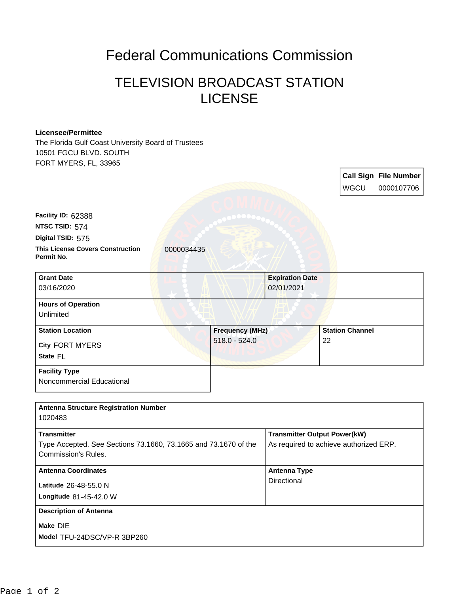## Federal Communications Commission

## TELEVISION BROADCAST STATION LICENSE

## **Licensee/Permittee**

The Florida Gulf Coast University Board of Trustees 10501 FGCU BLVD. SOUTH FORT MYERS, FL, 33965

> **Call Sign File Number** WGCU 0000107706

**This License Covers Construction** 0000034435 **Permit No. Digital TSID:** 575 **NTSC TSID:** 574 **Facility ID:** 62388

| <b>Grant Date</b>         |                        | <b>Expiration Date</b> |
|---------------------------|------------------------|------------------------|
| 03/16/2020                | 02/01/2021             |                        |
| <b>Hours of Operation</b> |                        |                        |
| Unlimited                 |                        |                        |
| <b>Station Location</b>   | <b>Frequency (MHz)</b> | <b>Station Channel</b> |
| <b>City FORT MYERS</b>    | $518.0 - 524.0$        | 22                     |
| State FL                  |                        |                        |
| <b>Facility Type</b>      |                        |                        |
| Noncommercial Educational |                        |                        |

| <b>Antenna Structure Registration Number</b><br>1020483                                                      |                                                                               |
|--------------------------------------------------------------------------------------------------------------|-------------------------------------------------------------------------------|
| <b>Transmitter</b><br>Type Accepted. See Sections 73.1660, 73.1665 and 73.1670 of the<br>Commission's Rules. | <b>Transmitter Output Power(kW)</b><br>As required to achieve authorized ERP. |
| <b>Antenna Coordinates</b><br>Latitude 26-48-55.0 N<br>Longitude 81-45-42.0 W                                | <b>Antenna Type</b><br>Directional                                            |
| <b>Description of Antenna</b><br>Make DIE<br>Model TFU-24DSC/VP-R 3BP260                                     |                                                                               |